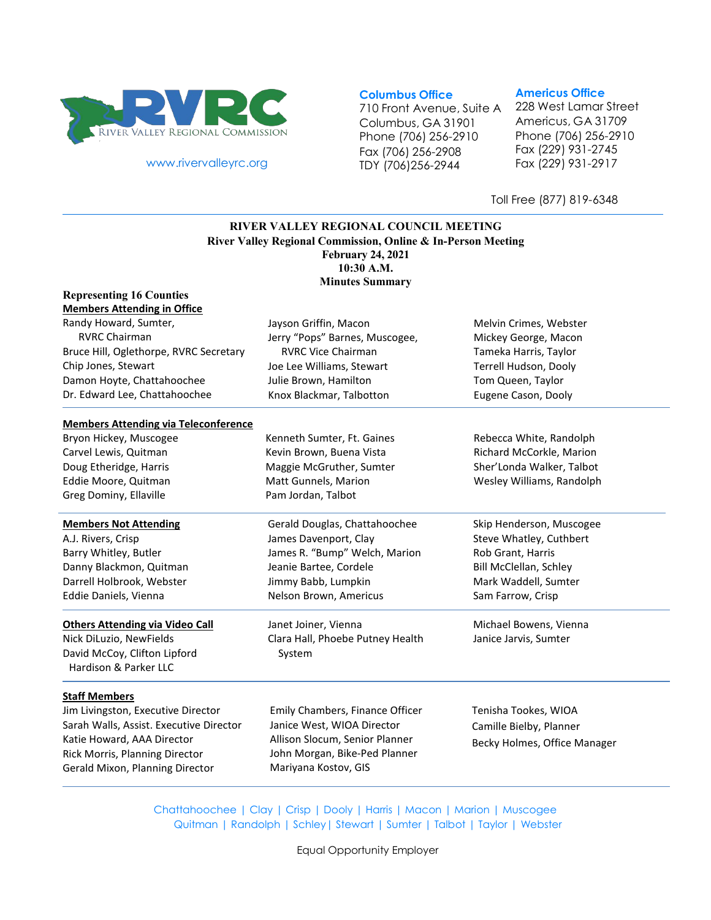

[www.rivervalleyrc.org](http://www.rivervalleyrc.org/)

**Columbus Office**

710 Front Avenue, Suite A Columbus, GA 31901 Phone (706) 256-2910 Fax (706) 256-2908 TDY (706)256-2944

#### **Americus Office**

228 West Lamar Street Americus, GA 31709 Phone (706) 256-2910 Fax (229) 931-2745 Fax (229) 931-2917

Toll Free (877) 819-6348

## **RIVER VALLEY REGIONAL COUNCIL MEETING River Valley Regional Commission, Online & In-Person Meeting February 24, 2021 10:30 A.M. Minutes Summary**

| <b>Representing 16 Counties</b>                       |                                  |                              |
|-------------------------------------------------------|----------------------------------|------------------------------|
| <b>Members Attending in Office</b>                    |                                  |                              |
| Randy Howard, Sumter,                                 | Jayson Griffin, Macon            | Melvin Crimes, Webster       |
| <b>RVRC Chairman</b>                                  | Jerry "Pops" Barnes, Muscogee,   | Mickey George, Macon         |
| Bruce Hill, Oglethorpe, RVRC Secretary                | <b>RVRC Vice Chairman</b>        | Tameka Harris, Taylor        |
| Chip Jones, Stewart                                   | Joe Lee Williams, Stewart        | Terrell Hudson, Dooly        |
| Damon Hoyte, Chattahoochee                            | Julie Brown, Hamilton            | Tom Queen, Taylor            |
| Dr. Edward Lee, Chattahoochee                         | Knox Blackmar, Talbotton         | Eugene Cason, Dooly          |
| <b>Members Attending via Teleconference</b>           |                                  |                              |
| Bryon Hickey, Muscogee                                | Kenneth Sumter, Ft. Gaines       | Rebecca White, Randolph      |
| Carvel Lewis, Quitman                                 | Kevin Brown, Buena Vista         | Richard McCorkle, Marion     |
| Doug Etheridge, Harris                                | Maggie McGruther, Sumter         | Sher'Londa Walker, Talbot    |
| Eddie Moore, Quitman                                  | Matt Gunnels, Marion             | Wesley Williams, Randolph    |
| Greg Dominy, Ellaville                                | Pam Jordan, Talbot               |                              |
| <b>Members Not Attending</b>                          | Gerald Douglas, Chattahoochee    | Skip Henderson, Muscogee     |
| A.J. Rivers, Crisp                                    | James Davenport, Clay            | Steve Whatley, Cuthbert      |
| Barry Whitley, Butler                                 | James R. "Bump" Welch, Marion    | Rob Grant, Harris            |
| Danny Blackmon, Quitman                               | Jeanie Bartee, Cordele           | Bill McClellan, Schley       |
| Darrell Holbrook, Webster                             | Jimmy Babb, Lumpkin              | Mark Waddell, Sumter         |
| Eddie Daniels, Vienna                                 | Nelson Brown, Americus           | Sam Farrow, Crisp            |
| <b>Others Attending via Video Call</b>                | Janet Joiner, Vienna             | Michael Bowens, Vienna       |
| Nick DiLuzio, NewFields                               | Clara Hall, Phoebe Putney Health | Janice Jarvis, Sumter        |
| David McCoy, Clifton Lipford<br>Hardison & Parker LLC | System                           |                              |
| <b>Staff Members</b>                                  |                                  |                              |
| Jim Livingston, Executive Director                    | Emily Chambers, Finance Officer  | Tenisha Tookes, WIOA         |
| Sarah Walls, Assist. Executive Director               | Janice West, WIOA Director       | Camille Bielby, Planner      |
| Katie Howard, AAA Director                            | Allison Slocum, Senior Planner   | Becky Holmes, Office Manager |
| Rick Morris, Planning Director                        | John Morgan, Bike-Ped Planner    |                              |
| Gerald Mixon, Planning Director                       | Mariyana Kostov, GIS             |                              |
|                                                       |                                  |                              |

Chattahoochee | Clay | Crisp | Dooly | Harris | Macon | Marion | Muscogee Quitman | Randolph | Schley| Stewart | Sumter | Talbot | Taylor | Webster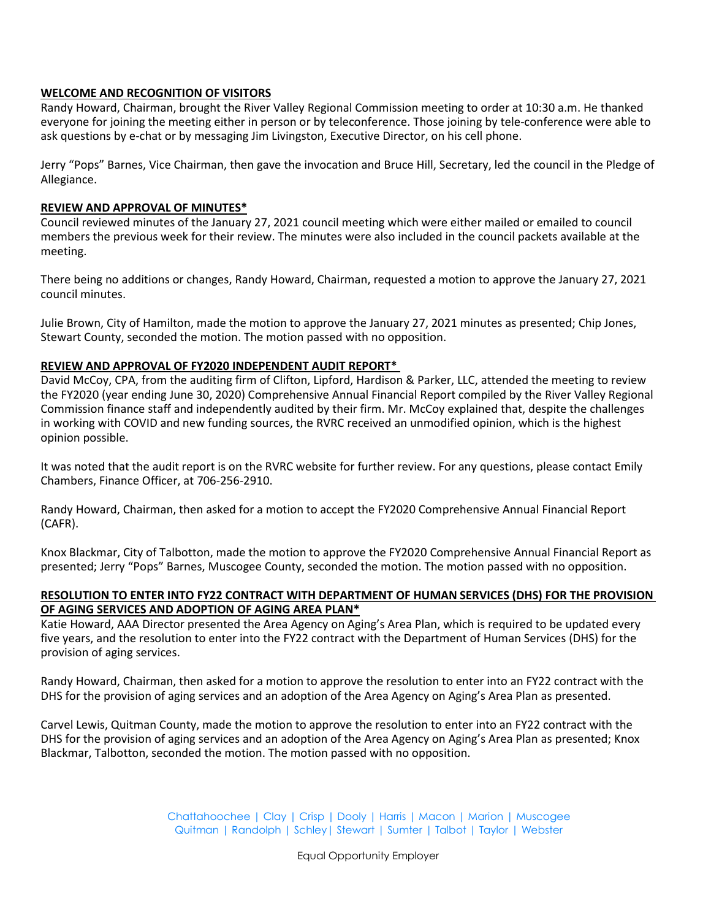## **WELCOME AND RECOGNITION OF VISITORS**

Randy Howard, Chairman, brought the River Valley Regional Commission meeting to order at 10:30 a.m. He thanked everyone for joining the meeting either in person or by teleconference. Those joining by tele-conference were able to ask questions by e-chat or by messaging Jim Livingston, Executive Director, on his cell phone.

Jerry "Pops" Barnes, Vice Chairman, then gave the invocation and Bruce Hill, Secretary, led the council in the Pledge of Allegiance.

### **REVIEW AND APPROVAL OF MINUTES\***

Council reviewed minutes of the January 27, 2021 council meeting which were either mailed or emailed to council members the previous week for their review. The minutes were also included in the council packets available at the meeting.

There being no additions or changes, Randy Howard, Chairman, requested a motion to approve the January 27, 2021 council minutes.

Julie Brown, City of Hamilton, made the motion to approve the January 27, 2021 minutes as presented; Chip Jones, Stewart County, seconded the motion. The motion passed with no opposition.

### **REVIEW AND APPROVAL OF FY2020 INDEPENDENT AUDIT REPORT\***

David McCoy, CPA, from the auditing firm of Clifton, Lipford, Hardison & Parker, LLC, attended the meeting to review the FY2020 (year ending June 30, 2020) Comprehensive Annual Financial Report compiled by the River Valley Regional Commission finance staff and independently audited by their firm. Mr. McCoy explained that, despite the challenges in working with COVID and new funding sources, the RVRC received an unmodified opinion, which is the highest opinion possible.

It was noted that the audit report is on the RVRC website for further review. For any questions, please contact Emily Chambers, Finance Officer, at 706-256-2910.

Randy Howard, Chairman, then asked for a motion to accept the FY2020 Comprehensive Annual Financial Report (CAFR).

Knox Blackmar, City of Talbotton, made the motion to approve the FY2020 Comprehensive Annual Financial Report as presented; Jerry "Pops" Barnes, Muscogee County, seconded the motion. The motion passed with no opposition.

## **RESOLUTION TO ENTER INTO FY22 CONTRACT WITH DEPARTMENT OF HUMAN SERVICES (DHS) FOR THE PROVISION OF AGING SERVICES AND ADOPTION OF AGING AREA PLAN\***

Katie Howard, AAA Director presented the Area Agency on Aging's Area Plan, which is required to be updated every five years, and the resolution to enter into the FY22 contract with the Department of Human Services (DHS) for the provision of aging services.

Randy Howard, Chairman, then asked for a motion to approve the resolution to enter into an FY22 contract with the DHS for the provision of aging services and an adoption of the Area Agency on Aging's Area Plan as presented.

Carvel Lewis, Quitman County, made the motion to approve the resolution to enter into an FY22 contract with the DHS for the provision of aging services and an adoption of the Area Agency on Aging's Area Plan as presented; Knox Blackmar, Talbotton, seconded the motion. The motion passed with no opposition.

> Chattahoochee | Clay | Crisp | Dooly | Harris | Macon | Marion | Muscogee Quitman | Randolph | Schley| Stewart | Sumter | Talbot | Taylor | Webster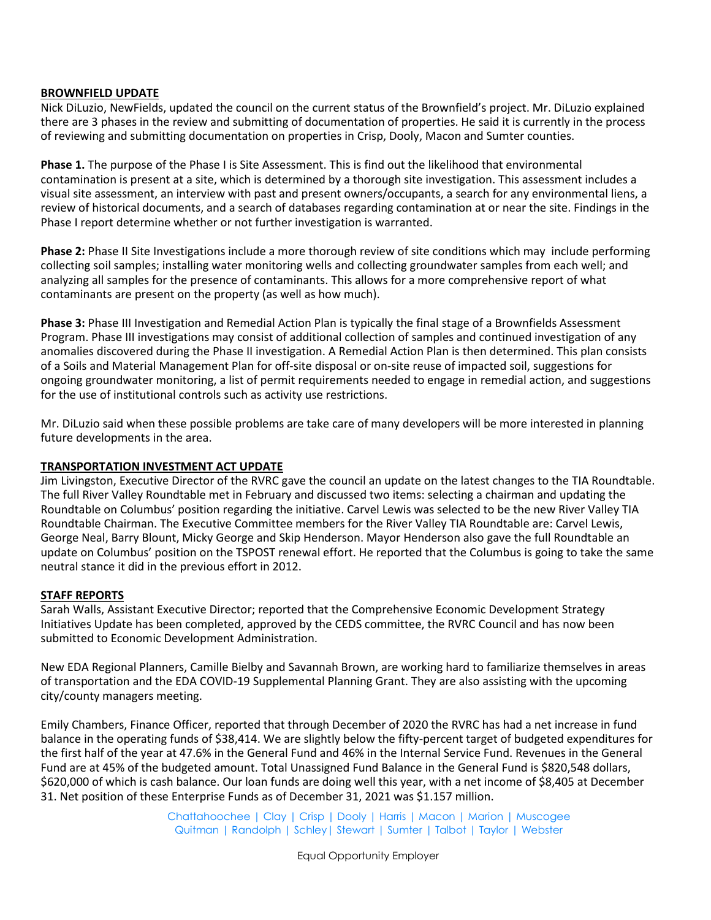### **BROWNFIELD UPDATE**

Nick DiLuzio, NewFields, updated the council on the current status of the Brownfield's project. Mr. DiLuzio explained there are 3 phases in the review and submitting of documentation of properties. He said it is currently in the process of reviewing and submitting documentation on properties in Crisp, Dooly, Macon and Sumter counties.

**Phase 1.** The purpose of the Phase I is Site Assessment. This is find out the likelihood that environmental contamination is present at a site, which is determined by a thorough site investigation. This assessment includes a visual site assessment, an interview with past and present owners/occupants, a search for any environmental liens, a review of historical documents, and a search of databases regarding contamination at or near the site. Findings in the Phase I report determine whether or not further investigation is warranted.

**Phase 2:** Phase II Site Investigations include a more thorough review of site conditions which may include performing collecting soil samples; installing water monitoring wells and collecting groundwater samples from each well; and analyzing all samples for the presence of contaminants. This allows for a more comprehensive report of what contaminants are present on the property (as well as how much).

**Phase 3:** Phase III Investigation and Remedial Action Plan is typically the final stage of a Brownfields Assessment Program. Phase III investigations may consist of additional collection of samples and continued investigation of any anomalies discovered during the Phase II investigation. A Remedial Action Plan is then determined. This plan consists of a Soils and Material Management Plan for off-site disposal or on-site reuse of impacted soil, suggestions for ongoing groundwater monitoring, a list of permit requirements needed to engage in remedial action, and suggestions for the use of institutional controls such as activity use restrictions.

Mr. DiLuzio said when these possible problems are take care of many developers will be more interested in planning future developments in the area.

# **TRANSPORTATION INVESTMENT ACT UPDATE**

Jim Livingston, Executive Director of the RVRC gave the council an update on the latest changes to the TIA Roundtable. The full River Valley Roundtable met in February and discussed two items: selecting a chairman and updating the Roundtable on Columbus' position regarding the initiative. Carvel Lewis was selected to be the new River Valley TIA Roundtable Chairman. The Executive Committee members for the River Valley TIA Roundtable are: Carvel Lewis, George Neal, Barry Blount, Micky George and Skip Henderson. Mayor Henderson also gave the full Roundtable an update on Columbus' position on the TSPOST renewal effort. He reported that the Columbus is going to take the same neutral stance it did in the previous effort in 2012.

### **STAFF REPORTS**

Sarah Walls, Assistant Executive Director; reported that the Comprehensive Economic Development Strategy Initiatives Update has been completed, approved by the CEDS committee, the RVRC Council and has now been submitted to Economic Development Administration.

New EDA Regional Planners, Camille Bielby and Savannah Brown, are working hard to familiarize themselves in areas of transportation and the EDA COVID-19 Supplemental Planning Grant. They are also assisting with the upcoming city/county managers meeting.

Emily Chambers, Finance Officer, reported that through December of 2020 the RVRC has had a net increase in fund balance in the operating funds of \$38,414. We are slightly below the fifty-percent target of budgeted expenditures for the first half of the year at 47.6% in the General Fund and 46% in the Internal Service Fund. Revenues in the General Fund are at 45% of the budgeted amount. Total Unassigned Fund Balance in the General Fund is \$820,548 dollars, \$620,000 of which is cash balance. Our loan funds are doing well this year, with a net income of \$8,405 at December 31. Net position of these Enterprise Funds as of December 31, 2021 was \$1.157 million.

> Chattahoochee | Clay | Crisp | Dooly | Harris | Macon | Marion | Muscogee Quitman | Randolph | Schley| Stewart | Sumter | Talbot | Taylor | Webster